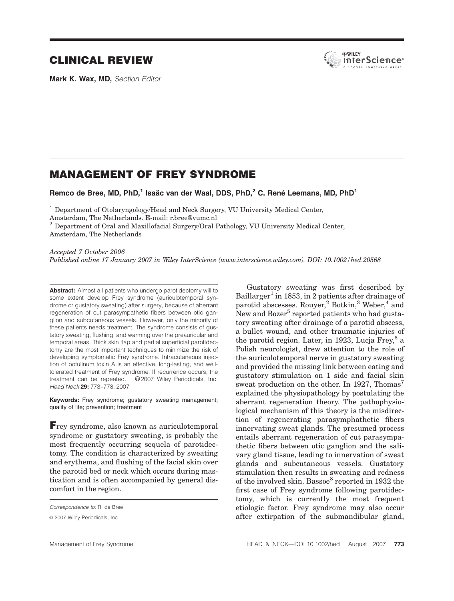# CLINICAL REVIEW

Mark K. Wax, MD, Section Editor



# MANAGEMENT OF FREY SYNDROME

Remco de Bree, MD, PhD,<sup>1</sup> Isaäc van der Waal, DDS, PhD,<sup>2</sup> C. René Leemans, MD, PhD<sup>1</sup>

<sup>1</sup> Department of Otolaryngology/Head and Neck Surgery, VU University Medical Center,

Amsterdam, The Netherlands. E-mail: r.bree@vumc.nl

<sup>2</sup> Department of Oral and Maxillofacial Surgery/Oral Pathology, VU University Medical Center, Amsterdam, The Netherlands

Accepted 7 October 2006

Published online 17 January 2007 in Wiley InterScience (www.interscience.wiley.com). DOI: 10.1002/hed.20568

Abstract: Almost all patients who undergo parotidectomy will to some extent develop Frey syndrome (auriculotemporal syndrome or gustatory sweating) after surgery, because of aberrant regeneration of cut parasympathetic fibers between otic ganglion and subcutaneous vessels. However, only the minority of these patients needs treatment. The syndrome consists of gustatory sweating, flushing, and warming over the preauricular and temporal areas. Thick skin flap and partial superficial parotidectomy are the most important techniques to minimize the risk of developing symptomatic Frey syndrome. Intracutaneous injection of botulinum toxin A is an effective, long-lasting, and welltolerated treatment of Frey syndrome. If recurrence occurs, the treatment can be repeated. ©2007 Wiley Periodicals, Inc. Head Neck 29: 773–778, 2007

Keywords: Frey syndrome; gustatory sweating management; quality of life; prevention; treatment

Frey syndrome, also known as auriculotemporal syndrome or gustatory sweating, is probably the most frequently occurring sequela of parotidectomy. The condition is characterized by sweating and erythema, and flushing of the facial skin over the parotid bed or neck which occurs during mastication and is often accompanied by general discomfort in the region.

Gustatory sweating was first described by Baillarger<sup>1</sup> in 1853, in 2 patients after drainage of parotid abscesses. Rouyer,<sup>2</sup> Botkin,<sup>3</sup> Weber,<sup>4</sup> and New and Bozer<sup>5</sup> reported patients who had gustatory sweating after drainage of a parotid abscess, a bullet wound, and other traumatic injuries of the parotid region. Later, in 1923, Lucja Frey,  $6a$ Polish neurologist, drew attention to the role of the auriculotemporal nerve in gustatory sweating and provided the missing link between eating and gustatory stimulation on 1 side and facial skin sweat production on the other. In 1927, Thomas<sup>7</sup> explained the physiopathology by postulating the aberrant regeneration theory. The pathophysiological mechanism of this theory is the misdirection of regenerating parasymphathetic fibers innervating sweat glands. The presumed process entails aberrant regeneration of cut parasympathetic fibers between otic ganglion and the salivary gland tissue, leading to innervation of sweat glands and subcutaneous vessels. Gustatory stimulation then results in sweating and redness of the involved skin. Bassoe<sup>8</sup> reported in 1932 the first case of Frey syndrome following parotidectomy, which is currently the most frequent etiologic factor. Frey syndrome may also occur after extirpation of the submandibular gland,

Correspondence to: R. de Bree

 $© 2007 Wiley Periodicals, Inc.$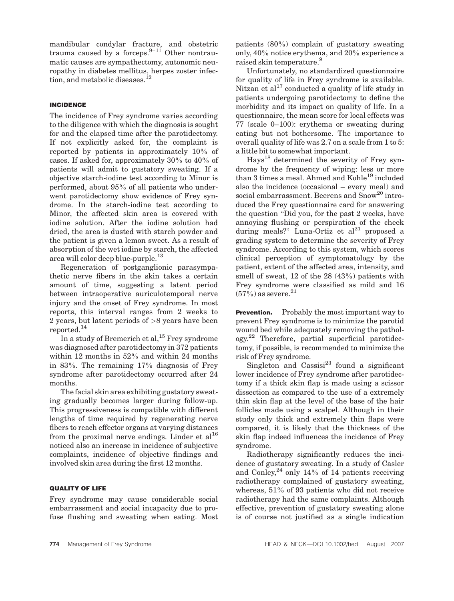mandibular condylar fracture, and obstetric trauma caused by a forceps. $9-11$  Other nontraumatic causes are sympathectomy, autonomic neuropathy in diabetes mellitus, herpes zoster infection, and metabolic diseases.<sup>12</sup>

## INCIDENCE

The incidence of Frey syndrome varies according to the diligence with which the diagnosis is sought for and the elapsed time after the parotidectomy. If not explicitly asked for, the complaint is reported by patients in approximately 10% of cases. If asked for, approximately 30% to 40% of patients will admit to gustatory sweating. If a objective starch-iodine test according to Minor is performed, about 95% of all patients who underwent parotidectomy show evidence of Frey syndrome. In the starch-iodine test according to Minor, the affected skin area is covered with iodine solution. After the iodine solution had dried, the area is dusted with starch powder and the patient is given a lemon sweet. As a result of absorption of the wet iodine by starch, the affected area will color deep blue-purple.<sup>13</sup>

Regeneration of postganglionic parasympathetic nerve fibers in the skin takes a certain amount of time, suggesting a latent period between intraoperative auriculotemporal nerve injury and the onset of Frey syndrome. In most reports, this interval ranges from 2 weeks to 2 years, but latent periods of >8 years have been reported.<sup>14</sup>

In a study of Bremerich et al,  $^{15}$  Frey syndrome was diagnosed after parotidectomy in 372 patients within 12 months in 52% and within 24 months in 83%. The remaining 17% diagnosis of Frey syndrome after parotidectomy occurred after 24 months.

The facial skin area exhibiting gustatory sweating gradually becomes larger during follow-up. This progressiveness is compatible with different lengths of time required by regenerating nerve fibers to reach effector organs at varying distances from the proximal nerve endings. Linder et  $al^{16}$ noticed also an increase in incidence of subjective complaints, incidence of objective findings and involved skin area during the first 12 months.

### QUALITY OF LIFE

Frey syndrome may cause considerable social embarrassment and social incapacity due to profuse flushing and sweating when eating. Most

patients (80%) complain of gustatory sweating only, 40% notice erythema, and 20% experience a raised skin temperature.<sup>9</sup>

Unfortunately, no standardized questionnaire for quality of life in Frey syndrome is available. Nitzan et al<sup>17</sup> conducted a quality of life study in patients undergoing parotidectomy to define the morbidity and its impact on quality of life. In a questionnaire, the mean score for local effects was 77 (scale 0–100): erythema or sweating during eating but not bothersome. The importance to overall quality of life was 2.7 on a scale from 1 to 5: a little bit to somewhat important.

Hays<sup>18</sup> determined the severity of Frey syndrome by the frequency of wiping: less or more than 3 times a meal. Ahmed and Kohle<sup>19</sup> included also the incidence (occasional – every meal) and social embarrassment. Beerens and Snow<sup>20</sup> introduced the Frey questionnaire card for answering the question "Did you, for the past  $2$  weeks, have annoying flushing or perspiration of the cheek during meals?" Luna-Ortiz et  $al^{21}$  proposed a grading system to determine the severity of Frey syndrome. According to this system, which scores clinical perception of symptomatology by the patient, extent of the affected area, intensity, and smell of sweat, 12 of the 28 (43%) patients with Frey syndrome were classified as mild and 16  $(57\%)$  as severe.<sup>21</sup>

**Prevention.** Probably the most important way to prevent Frey syndrome is to minimize the parotid wound bed while adequately removing the pathology.22 Therefore, partial superficial parotidectomy, if possible, is recommended to minimize the risk of Frey syndrome.

Singleton and  $\text{Cassisi}^{23}$  found a significant lower incidence of Frey syndrome after parotidectomy if a thick skin flap is made using a scissor dissection as compared to the use of a extremely thin skin flap at the level of the base of the hair follicles made using a scalpel. Although in their study only thick and extremely thin flaps were compared, it is likely that the thickness of the skin flap indeed influences the incidence of Frey syndrome.

Radiotherapy significantly reduces the incidence of gustatory sweating. In a study of Casler and Conley, $^{24}$  only 14% of 14 patients receiving radiotherapy complained of gustatory sweating, whereas, 51% of 93 patients who did not receive radiotherapy had the same complaints. Although effective, prevention of gustatory sweating alone is of course not justified as a single indication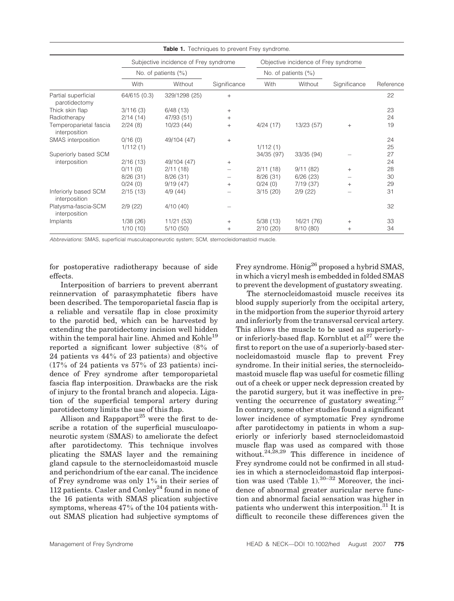| <b>Table 1.</b> Techniques to prevent Frey syndrome. |                                       |               |              |                                      |            |              |           |  |  |
|------------------------------------------------------|---------------------------------------|---------------|--------------|--------------------------------------|------------|--------------|-----------|--|--|
|                                                      | Subjective incidence of Frey syndrome |               |              | Objective incidence of Frey syndrome |            |              |           |  |  |
|                                                      | No. of patients $(\% )$               |               |              | No. of patients $(\% )$              |            |              |           |  |  |
|                                                      | With                                  | Without       | Significance | With                                 | Without    | Significance | Reference |  |  |
| Partial superficial<br>parotidectomy                 | 64/615 (0.3)                          | 329/1298 (25) | $^{+}$       |                                      |            |              | 22        |  |  |
| Thick skin flap                                      | 3/116(3)                              | 6/48(13)      | $+$          |                                      |            |              | 23        |  |  |
| Radiotherapy                                         | 2/14(14)                              | 47/93 (51)    | $+$          |                                      |            |              | 24        |  |  |
| Temperoparietal fascia<br>interposition              | 2/24(8)                               | 10/23 (44)    | $^{+}$       | 4/24(17)                             | 13/23 (57) | $+$          | 19        |  |  |
| SMAS interposition                                   | 0/16(0)                               | 49/104 (47)   | $+$          |                                      |            |              | 24        |  |  |
|                                                      | 1/112(1)                              |               |              | 1/112(1)                             |            |              | 25        |  |  |
| Superiorly based SCM                                 |                                       |               |              | 34/35 (97)                           | 33/35 (94) |              | 27        |  |  |
| interposition                                        | 2/16(13)                              | 49/104 (47)   | $^{+}$       |                                      |            |              | 24        |  |  |
|                                                      | 0/11(0)                               | 2/11(18)      |              | 2/11(18)                             | 9/11(82)   | $^{+}$       | 28        |  |  |
|                                                      | 8/26(31)                              | 8/26(31)      |              | 8/26(31)                             | 6/26(23)   |              | 30        |  |  |
|                                                      | 0/24(0)                               | 9/19(47)      | $+$          | 0/24(0)                              | 7/19(37)   | $^{+}$       | 29        |  |  |
| Inferiorly based SCM<br>interposition                | 2/15(13)                              | 4/9(44)       |              | 3/15(20)                             | 2/9(22)    |              | 31        |  |  |
| Platysma-fascia-SCM<br>interposition                 | 2/9(22)                               | 4/10(40)      |              |                                      |            |              | 32        |  |  |
| Implants                                             | 1/38(26)                              | 11/21(53)     | $+$          | 5/38(13)                             | 16/21 (76) | $^{+}$       | 33        |  |  |
|                                                      | 1/10(10)                              | 5/10(50)      | $^{+}$       | 2/10(20)                             | 8/10(80)   | $^+$         | 34        |  |  |

Abbreviations: SMAS, superficial musculoaponeurotic system; SCM, sternocleidomastoid muscle.

for postoperative radiotherapy because of side effects.

Interposition of barriers to prevent aberrant reinnervation of parasymphatetic fibers have been described. The temporoparietal fascia flap is a reliable and versatile flap in close proximity to the parotid bed, which can be harvested by extending the parotidectomy incision well hidden within the temporal hair line. Ahmed and Kohle<sup>19</sup> reported a significant lower subjective (8% of 24 patients vs 44% of 23 patients) and objective  $(17\% \text{ of } 24 \text{ patients vs } 57\% \text{ of } 23 \text{ patients})$  incidence of Frey syndrome after temporoparietal fascia flap interposition. Drawbacks are the risk of injury to the frontal branch and alopecia. Ligation of the superficial temporal artery during parotidectomy limits the use of this flap.

Allison and Rappaport<sup>25</sup> were the first to describe a rotation of the superficial musculoaponeurotic system (SMAS) to ameliorate the defect after parotidectomy. This technique involves plicating the SMAS layer and the remaining gland capsule to the sternocleidomastoid muscle and perichondrium of the ear canal. The incidence of Frey syndrome was only 1% in their series of 112 patients. Casler and  $\text{Conley}^{24}$  found in none of the 16 patients with SMAS plication subjective symptoms, whereas 47% of the 104 patients without SMAS plication had subjective symptoms of Frey syndrome. Hönig<sup>26</sup> proposed a hybrid SMAS, in which a vicryl mesh is embedded in folded SMAS to prevent the development of gustatory sweating.

The sternocleidomastoid muscle receives its blood supply superiorly from the occipital artery, in the midportion from the superior thyroid artery and inferiorly from the transversal cervical artery. This allows the muscle to be used as superiorlyor inferiorly-based flap. Kornblut et  $al^{27}$  were the first to report on the use of a superiorly-based sternocleidomastoid muscle flap to prevent Frey syndrome. In their initial series, the sternocleidomastoid muscle flap was useful for cosmetic filling out of a cheek or upper neck depression created by the parotid surgery, but it was ineffective in preventing the occurrence of gustatory sweating. $27$ In contrary, some other studies found a significant lower incidence of symptomatic Frey syndrome after parotidectomy in patients in whom a superiorly or inferiorly based sternocleidomastoid muscle flap was used as compared with those without.<sup>24,28,29</sup> This difference in incidence of Frey syndrome could not be confirmed in all studies in which a sternocleidomastoid flap interposition was used (Table  $1$ ).<sup>30–32</sup> Moreover, the incidence of abnormal greater auricular nerve function and abnormal facial sensation was higher in patients who underwent this interposition.<sup>31</sup> It is difficult to reconcile these differences given the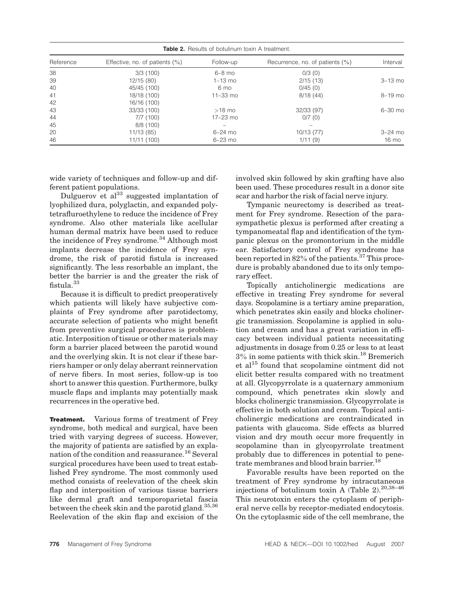| <b>Table 2.</b> Results of botulinum toxin A treatment. |                                    |                |                                     |             |  |  |  |  |
|---------------------------------------------------------|------------------------------------|----------------|-------------------------------------|-------------|--|--|--|--|
| Reference                                               | Effective, no. of patients $(\% )$ | Follow-up      | Recurrence, no. of patients $(\% )$ | Interval    |  |  |  |  |
| 38                                                      | 3/3(100)                           | $6-8$ mo       | 0/3(0)                              |             |  |  |  |  |
| 39                                                      | 12/15(80)                          | $1-13$ mo      | 2/15(13)                            | $3 - 13$ mo |  |  |  |  |
| 40                                                      | 45/45 (100)                        | $6 \text{ mo}$ | 0/45(0)                             |             |  |  |  |  |
| 41                                                      | 18/18 (100)                        | $11 - 33$ mo   | 8/18(44)                            | 8-19 mo     |  |  |  |  |
| 42                                                      | 16/16 (100)                        |                |                                     |             |  |  |  |  |
| 43                                                      | 33/33 (100)                        | $>18$ mo       | 32/33 (97)                          | 6-30 mo     |  |  |  |  |
| 44                                                      | 7/7(100)                           | 17-23 mo       | 0/7(0)                              |             |  |  |  |  |
| 45                                                      | 8/8(100)                           |                |                                     |             |  |  |  |  |
| 20                                                      | 11/13(85)                          | $6 - 24$ mo    | 10/13(77)                           | $3-24$ mo   |  |  |  |  |
| 46                                                      | 11/11 (100)                        | $6 - 23$ mo    | 1/11(9)                             | 16 mo       |  |  |  |  |

wide variety of techniques and follow-up and different patient populations.

Dulguerov et  $al^{33}$  suggested implantation of lyophilized dura, polyglactin, and expanded polytetrafluroethylene to reduce the incidence of Frey syndrome. Also other materials like acellular human dermal matrix have been used to reduce the incidence of Frey syndrome.<sup>34</sup> Although most implants decrease the incidence of Frey syndrome, the risk of parotid fistula is increased significantly. The less resorbable an implant, the better the barrier is and the greater the risk of fistula. $33$ 

Because it is difficult to predict preoperatively which patients will likely have subjective complaints of Frey syndrome after parotidectomy, accurate selection of patients who might benefit from preventive surgical procedures is problematic. Interposition of tissue or other materials may form a barrier placed between the parotid wound and the overlying skin. It is not clear if these barriers hamper or only delay aberrant reinnervation of nerve fibers. In most series, follow-up is too short to answer this question. Furthermore, bulky muscle flaps and implants may potentially mask recurrences in the operative bed.

**Treatment.** Various forms of treatment of Frey syndrome, both medical and surgical, have been tried with varying degrees of success. However, the majority of patients are satisfied by an explanation of the condition and reassurance.<sup>16</sup> Several surgical procedures have been used to treat established Frey syndrome. The most commonly used method consists of reelevation of the cheek skin flap and interposition of various tissue barriers like dermal graft and temporoparietal fascia between the cheek skin and the parotid gland.<sup>35,36</sup> Reelevation of the skin flap and excision of the involved skin followed by skin grafting have also been used. These procedures result in a donor site scar and harbor the risk of facial nerve injury.

Tympanic neurectomy is described as treatment for Frey syndrome. Resection of the parasympathetic plexus is performed after creating a tympanomeatal flap and identification of the tympanic plexus on the promontorium in the middle ear. Satisfactory control of Frey syndrome has been reported in  $82\%$  of the patients.<sup>37</sup> This procedure is probably abandoned due to its only temporary effect.

Topically anticholinergic medications are effective in treating Frey syndrome for several days. Scopolamine is a tertiary amine preparation, which penetrates skin easily and blocks cholinergic transmission. Scopolamine is applied in solution and cream and has a great variation in efficacy between individual patients necessitating adjustments in dosage from 0.25 or less to at least 3% in some patients with thick skin.18 Bremerich et al<sup>15</sup> found that scopolamine ointment did not elicit better results compared with no treatment at all. Glycopyrrolate is a quaternary ammonium compound, which penetrates skin slowly and blocks cholinergic transmission. Glycopyrrolate is effective in both solution and cream. Topical anticholinergic medications are contraindicated in patients with glaucoma. Side effects as blurred vision and dry mouth occur more frequently in scopolamine than in glycopyrrolate treatment probably due to differences in potential to penetrate membranes and blood brain barrier.<sup>18</sup>

Favorable results have been reported on the treatment of Frey syndrome by intracutaneous injections of botulinum toxin A (Table 2).  $20,38-46$ This neurotoxin enters the cytoplasm of peripheral nerve cells by receptor-mediated endocytosis. On the cytoplasmic side of the cell membrane, the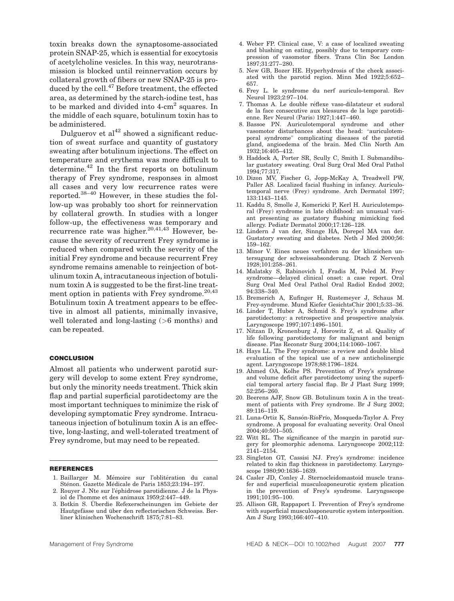toxin breaks down the synaptosome-associated protein SNAP-25, which is essential for exocytosis of acetylcholine vesicles. In this way, neurotransmission is blocked until reinnervation occurs by collateral growth of fibers or new SNAP-25 is produced by the cell.<sup>47</sup> Before treatment, the effected area, as determined by the starch-iodine test, has to be marked and divided into 4-cm<sup>2</sup> squares. In the middle of each square, botulinum toxin has to be administered.

Dulguerov et  $al^{42}$  showed a significant reduction of sweat surface and quantity of gustatory sweating after botulinum injections. The effect on temperature and erythema was more difficult to determine.<sup>42</sup> In the first reports on botulinum therapy of Frey syndrome, responses in almost all cases and very low recurrence rates were reported.38–40 However, in these studies the follow-up was probably too short for reinnervation by collateral growth. In studies with a longer follow-up, the effectiveness was temporary and recurrence rate was higher.<sup>20,41,43</sup> However, because the severity of recurrent Frey syndrome is reduced when compared with the severity of the initial Frey syndrome and because recurrent Frey syndrome remains amenable to reinjection of botulinum toxin A, intracutaneous injection of botulinum toxin A is suggested to be the first-line treatment option in patients with Frey syndrome. $20,43$ Botulinum toxin A treatment appears to be effective in almost all patients, minimally invasive, well tolerated and long-lasting (>6 months) and can be repeated.

### CONCLUSION

Almost all patients who underwent parotid surgery will develop to some extent Frey syndrome, but only the minority needs treatment. Thick skin flap and partial superficial parotidectomy are the most important techniques to minimize the risk of developing symptomatic Frey syndrome. Intracutaneous injection of botulinum toxin A is an effective, long-lasting, and well-tolerated treatment of Frey syndrome, but may need to be repeated.

#### REFERENCES

- 1. Baillarger M. Mémoire sur l'oblitération du canal Sténon. Gazette Médicale de Paris 1853;23:194-197.
- 2. Rouyer J. Nte sur l'éphidrose parotidienne. J de la Physiol de l'homme et des animaux 1959;2:447–449.
- 3. Botkin S. Überdie Refexerscheinungen im Gebiete der Hautgefässe und über den reflectorischen Schweiss. Berliner klinischen Wochenschrift 1875;7:81–83.
- 4. Weber FP. Clinical case, V: a case of localized sweating and blushing on eating, possibly due to temporary compression of vasomotor fibers. Trans Clin Soc London 1897;31:277–280.
- 5. New GB, Bozer HE. Hyperhydrosis of the cheek associated with the parotid region. Minn Med 1922;5:652– 657.
- 6. Frey L. le syndrome du nerf auriculo-temporal. Rev Neurol 1923;2:97–104.
- 7. Thomas A. Le double réflexe vaso-dilatateur et sudoral de la face consecutive aux blessures de la loge parotidienne. Rev Neurol (Paris) 1927;1:447–460.
- 8. Bassoe PN. Auriculotemporal syndrome and other vasomotor disturbances about the head: "auriculotemporal syndrome" complicating diseases of the parotid gland, angioedema of the brain. Med Clin North Am 1932;16:405–412.
- 9. Haddock A, Porter SR, Scully C, Smith I. Submandibular gustatory sweating. Oral Surg Oral Med Oral Pathol 1994;77:317.
- 10. Dizon MV, Fischer G, Jopp-McKay A, Treadwell PW, Paller AS. Localized facial flushing in infancy. Auriculotemporal nerve (Frey) syndrome. Arch Dermatol 1997; 133:1143–1145.
- 11. Kaddu S, Smolle J, Komericki P, Kerl H. Auriculotemporal (Frey) syndrome in late childhood: an unusual variant presenting as gustatory flushing mimicking food allergy. Pediatr Dermatol 2000;17:126–128.
- 12. Lindern J van der, Sinnge HA, Dorepel MA van der. Gustatory sweating and diabetes. Neth J Med 2000;56: 159–162.
- 13. Minor V. Eines neues verfahren zu der klinsichen untersugung der schweissabsonderung. Dtsch Z Nervenh 1928;101:258–261.
- 14. Malatsky S, Rabinovich I, Fradis M, Peled M. Frey syndrome—delayed clinical onset: a case report. Oral Surg Oral Med Oral Pathol Oral Radiol Endod 2002; 94:338–340.
- 15. Bremerich A, Eufinger H, Rustemeyer J, Schaus M. Frey-syndrome. Mund Kiefer GesichtsChir 2001;5:33–36.
- 16. Linder T, Huber A, Schmid S. Frey's syndrome after parotidectomy: a retrospective and prospective analysis. Laryngoscope 1997;107:1496–1501.
- 17. Nitzan D, Kronenburg J, Horowitz Z, et al. Quality of life following parotidectomy for malignant and benign disease. Plas Reconstr Surg 2004;114:1060–1067.
- 18. Hays LL. The Frey syndrome: a review and double blind evaluation of the topical use of a new anticholinergic agent. Laryngoscope 1978;88:1796–1824.
- 19. Ahmed OA, Kolhe PS. Prevention of Frey's syndrome and volume deficit after parotidectomy using the superficial temporal artery fascial flap. Br J Plast Surg 1999; 52:256–260.
- 20. Beerens AJF, Snow GB. Botulinum toxin A in the treatment of patients with Frey syndrome. Br J Surg 2002; 89:116–119.
- 21. Luna-Ortiz K, Sansón-RíoFrío, Mosqueda-Taylor A. Frey syndrome. A proposal for evaluating severity. Oral Oncol 2004;40:501–505.
- 22. Witt RL. The significance of the margin in parotid surgery for pleomorphic adenoma. Laryngoscope 2002;112: 2141–2154.
- 23. Singleton GT, Cassisi NJ. Frey's syndrome: incidence related to skin flap thickness in parotidectomy. Laryngoscope 1980;90:1636–1639.
- 24. Casler JD, Conley J. Sternocleidomastoid muscle transfer and superficial musculoaponeurotic system plication in the prevention of Frey's syndrome. Laryngoscope 1991;101:95–100.
- 25. Allison GR, Rappaport I. Prevention of Frey's syndrome with superficial musculoaponeurotic system interposition. Am J Surg 1993;166:407–410.